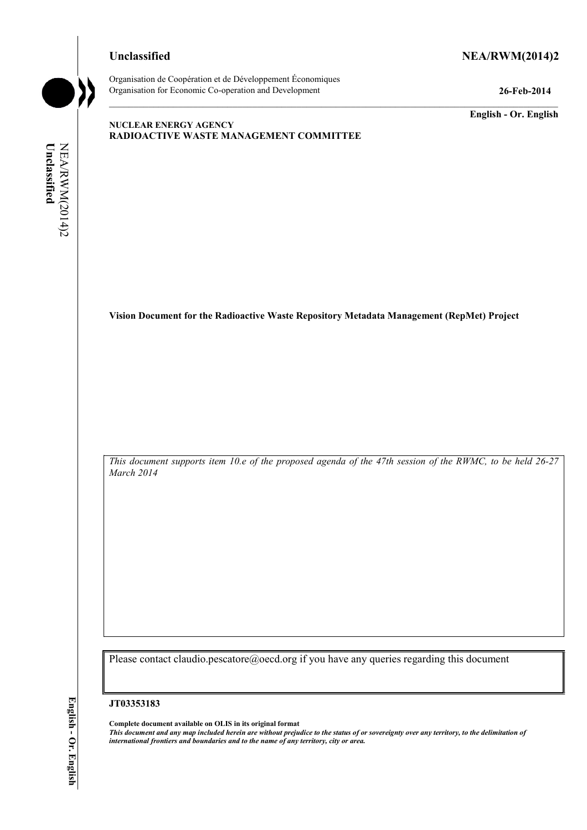# **Unclassified NEA/RWM(2014)2**



Organisation de Coopération et de Développement Économiques Organisation for Economic Co-operation and Development **26-Feb-2014** 

**English - Or. English** 

# **NUCLEAR ENERGY AGENCY RADIOACTIVE WASTE MANAGEMENT COMMITTEE**

Unclassified NEA/RWM(2014)2 **Unclassified**  NEA/RWM(2014)2

**Vision Document for the Radioactive Waste Repository Metadata Management (RepMet) Project** 

*This document supports item 10.e of the proposed agenda of the 47th session of the RWMC, to be held 26-27 March 2014* 

Please contact claudio.pescatore@oecd.org if you have any queries regarding this document

#### **JT03353183**

**Complete document available on OLIS in its original format** *This document and any map included herein are without prejudice to the status of or sovereignty over any territory, to the delimitation of international frontiers and boundaries and to the name of any territory, city or area.*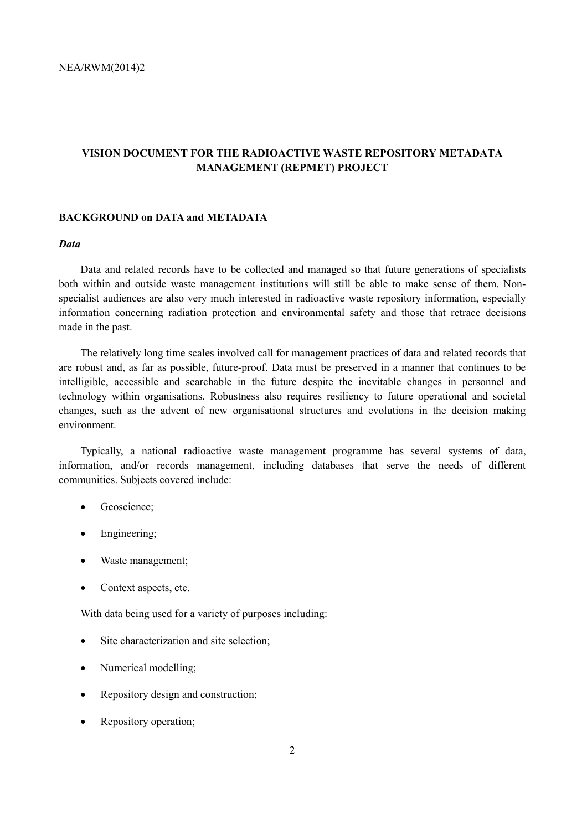# **VISION DOCUMENT FOR THE RADIOACTIVE WASTE REPOSITORY METADATA MANAGEMENT (REPMET) PROJECT**

## **BACKGROUND on DATA and METADATA**

## *Data*

Data and related records have to be collected and managed so that future generations of specialists both within and outside waste management institutions will still be able to make sense of them. Nonspecialist audiences are also very much interested in radioactive waste repository information, especially information concerning radiation protection and environmental safety and those that retrace decisions made in the past.

The relatively long time scales involved call for management practices of data and related records that are robust and, as far as possible, future-proof. Data must be preserved in a manner that continues to be intelligible, accessible and searchable in the future despite the inevitable changes in personnel and technology within organisations. Robustness also requires resiliency to future operational and societal changes, such as the advent of new organisational structures and evolutions in the decision making environment.

Typically, a national radioactive waste management programme has several systems of data, information, and/or records management, including databases that serve the needs of different communities. Subjects covered include:

- Geoscience:
- Engineering;
- Waste management;
- Context aspects, etc.

With data being used for a variety of purposes including:

- Site characterization and site selection;
- Numerical modelling;
- Repository design and construction;
- Repository operation;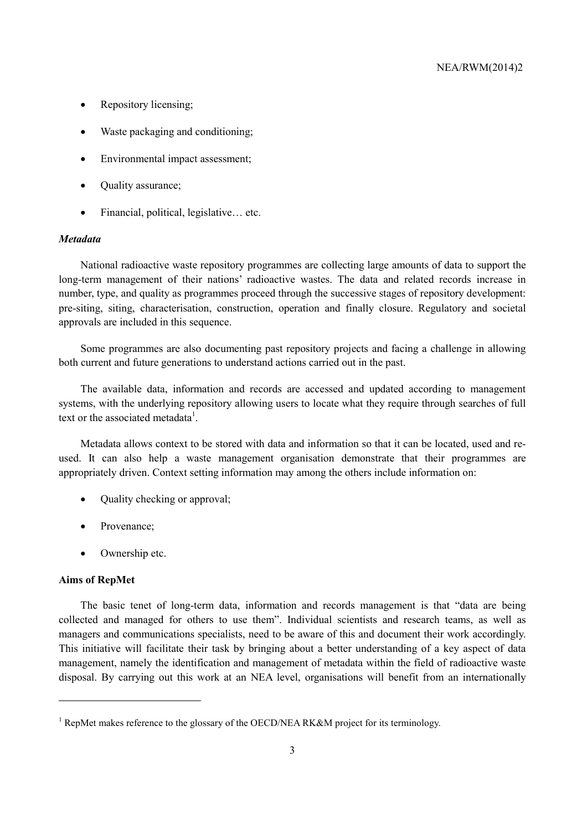- Repository licensing;
- Waste packaging and conditioning;
- Environmental impact assessment;
- Ouality assurance;
- Financial, political, legislative... etc.

### *Metadata*

National radioactive waste repository programmes are collecting large amounts of data to support the long-term management of their nations' radioactive wastes. The data and related records increase in number, type, and quality as programmes proceed through the successive stages of repository development: pre-siting, siting, characterisation, construction, operation and finally closure. Regulatory and societal approvals are included in this sequence.

Some programmes are also documenting past repository projects and facing a challenge in allowing both current and future generations to understand actions carried out in the past.

The available data, information and records are accessed and updated according to management systems, with the underlying repository allowing users to locate what they require through searches of full text or the associated metadata<sup>1</sup>.

Metadata allows context to be stored with data and information so that it can be located, used and reused. It can also help a waste management organisation demonstrate that their programmes are appropriately driven. Context setting information may among the others include information on:

- Quality checking or approval;
- Provenance:
- Ownership etc.

#### **Aims of RepMet**

The basic tenet of long-term data, information and records management is that "data are being collected and managed for others to use them". Individual scientists and research teams, as well as managers and communications specialists, need to be aware of this and document their work accordingly. This initiative will facilitate their task by bringing about a better understanding of a key aspect of data management, namely the identification and management of metadata within the field of radioactive waste disposal. By carrying out this work at an NEA level, organisations will benefit from an internationally

<sup>&</sup>lt;sup>1</sup> RepMet makes reference to the glossary of the OECD/NEA RK&M project for its terminology.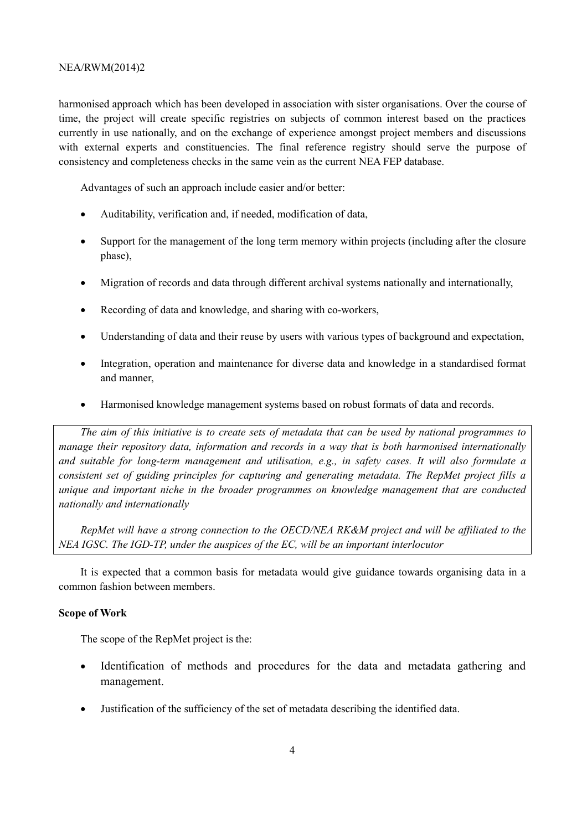## NEA/RWM(2014)2

harmonised approach which has been developed in association with sister organisations. Over the course of time, the project will create specific registries on subjects of common interest based on the practices currently in use nationally, and on the exchange of experience amongst project members and discussions with external experts and constituencies. The final reference registry should serve the purpose of consistency and completeness checks in the same vein as the current NEA FEP database.

Advantages of such an approach include easier and/or better:

- Auditability, verification and, if needed, modification of data,
- Support for the management of the long term memory within projects (including after the closure phase),
- Migration of records and data through different archival systems nationally and internationally,
- Recording of data and knowledge, and sharing with co-workers,
- Understanding of data and their reuse by users with various types of background and expectation,
- Integration, operation and maintenance for diverse data and knowledge in a standardised format and manner,
- Harmonised knowledge management systems based on robust formats of data and records.

*The aim of this initiative is to create sets of metadata that can be used by national programmes to manage their repository data, information and records in a way that is both harmonised internationally and suitable for long-term management and utilisation, e.g., in safety cases. It will also formulate a consistent set of guiding principles for capturing and generating metadata. The RepMet project fills a unique and important niche in the broader programmes on knowledge management that are conducted nationally and internationally* 

*RepMet will have a strong connection to the OECD/NEA RK&M project and will be affiliated to the NEA IGSC. The IGD-TP, under the auspices of the EC, will be an important interlocutor* 

It is expected that a common basis for metadata would give guidance towards organising data in a common fashion between members.

## **Scope of Work**

The scope of the RepMet project is the:

- Identification of methods and procedures for the data and metadata gathering and management.
- Justification of the sufficiency of the set of metadata describing the identified data.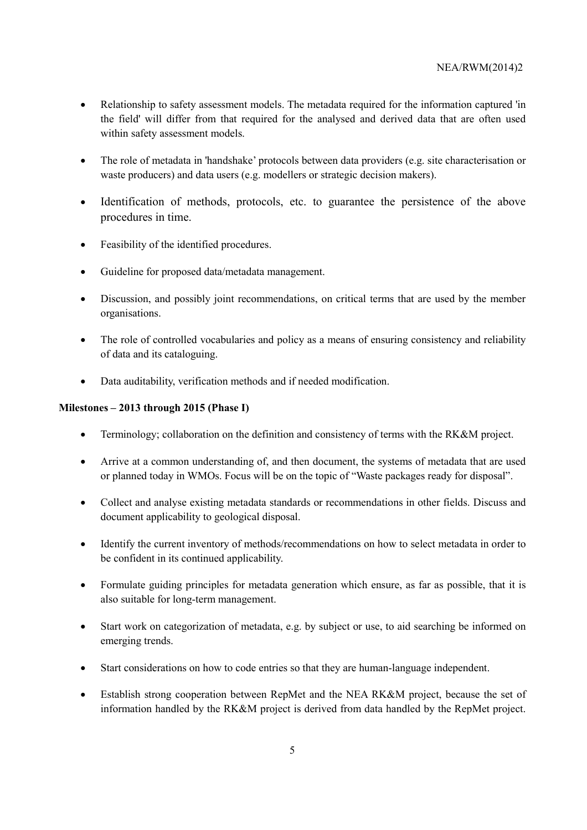- Relationship to safety assessment models. The metadata required for the information captured 'in the field' will differ from that required for the analysed and derived data that are often used within safety assessment models.
- The role of metadata in 'handshake' protocols between data providers (e.g. site characterisation or waste producers) and data users (e.g. modellers or strategic decision makers).
- Identification of methods, protocols, etc. to guarantee the persistence of the above procedures in time.
- Feasibility of the identified procedures.
- Guideline for proposed data/metadata management.
- Discussion, and possibly joint recommendations, on critical terms that are used by the member organisations.
- The role of controlled vocabularies and policy as a means of ensuring consistency and reliability of data and its cataloguing.
- Data auditability, verification methods and if needed modification.

# **Milestones – 2013 through 2015 (Phase I)**

- Terminology; collaboration on the definition and consistency of terms with the RK&M project.
- Arrive at a common understanding of, and then document, the systems of metadata that are used or planned today in WMOs. Focus will be on the topic of "Waste packages ready for disposal".
- Collect and analyse existing metadata standards or recommendations in other fields. Discuss and document applicability to geological disposal.
- Identify the current inventory of methods/recommendations on how to select metadata in order to be confident in its continued applicability.
- Formulate guiding principles for metadata generation which ensure, as far as possible, that it is also suitable for long-term management.
- Start work on categorization of metadata, e.g. by subject or use, to aid searching be informed on emerging trends.
- Start considerations on how to code entries so that they are human-language independent.
- Establish strong cooperation between RepMet and the NEA RK&M project, because the set of information handled by the RK&M project is derived from data handled by the RepMet project.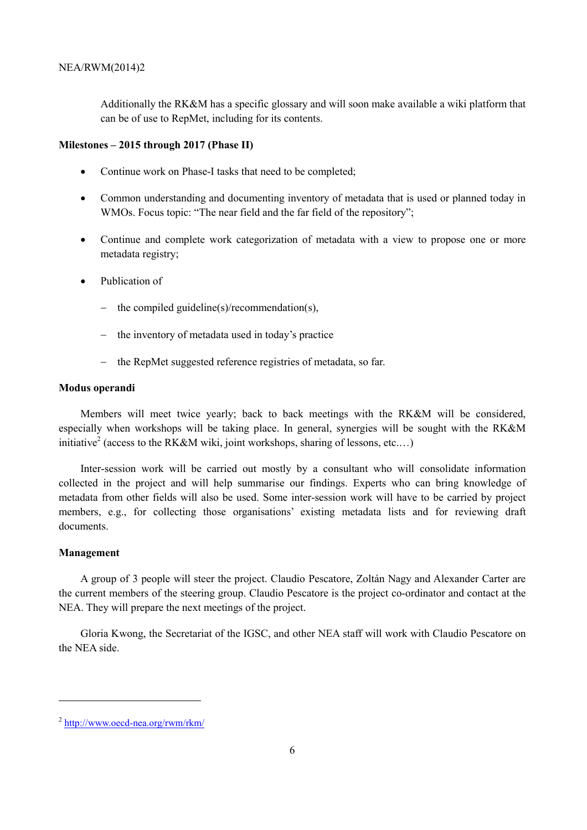Additionally the RK&M has a specific glossary and will soon make available a wiki platform that can be of use to RepMet, including for its contents.

## **Milestones – 2015 through 2017 (Phase II)**

- Continue work on Phase-I tasks that need to be completed;
- Common understanding and documenting inventory of metadata that is used or planned today in WMOs. Focus topic: "The near field and the far field of the repository";
- Continue and complete work categorization of metadata with a view to propose one or more metadata registry;
- Publication of
	- the compiled guideline(s)/recommendation(s),
	- − the inventory of metadata used in today's practice
	- the RepMet suggested reference registries of metadata, so far.

### **Modus operandi**

Members will meet twice yearly; back to back meetings with the RK&M will be considered, especially when workshops will be taking place. In general, synergies will be sought with the RK&M initiative<sup>2</sup> (access to the RK&M wiki, joint workshops, sharing of lessons, etc....)

Inter-session work will be carried out mostly by a consultant who will consolidate information collected in the project and will help summarise our findings. Experts who can bring knowledge of metadata from other fields will also be used. Some inter-session work will have to be carried by project members, e.g., for collecting those organisations' existing metadata lists and for reviewing draft documents.

## **Management**

A group of 3 people will steer the project. Claudio Pescatore, Zoltán Nagy and Alexander Carter are the current members of the steering group. Claudio Pescatore is the project co-ordinator and contact at the NEA. They will prepare the next meetings of the project.

Gloria Kwong, the Secretariat of the IGSC, and other NEA staff will work with Claudio Pescatore on the NEA side.

<sup>2</sup> http://www.oecd-nea.org/rwm/rkm/